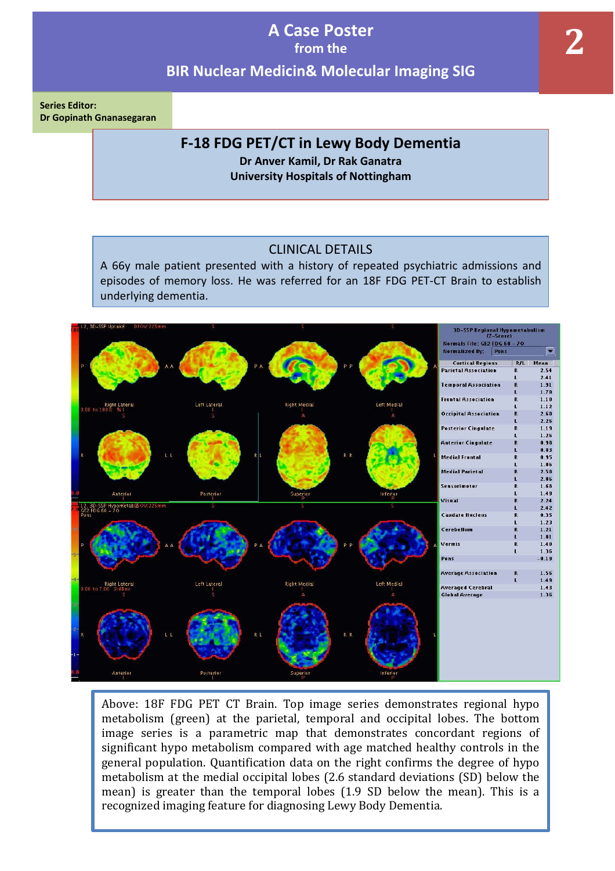**Series Editor: Dr Gopinath Gnanasegaran** 

### **F-18 FDG PET/CT in Lewy Body Dementia**

**Dr Anver Kamil, Dr Rak Ganatra University Hospitals of Nottingham**

### CLINICAL DETAILS

A 66y male patient presented with a history of repeated psychiatric admissions and episodes of memory loss. He was referred for an 18F FDG PET-CT Brain to establish underlying dementia.



Above: 18F FDG PET CT Brain. Top image series demonstrates regional hypo metabolism (green) at the parietal, temporal and occipital lobes. The bottom image series is a parametric map that demonstrates concordant regions of significant hypo metabolism compared with age matched healthy controls in the general population. Quantification data on the right confirms the degree of hypo metabolism at the medial occipital lobes (2.6 standard deviations (SD) below the mean) is greater than the temporal lobes (1.9 SD below the mean). This is a recognized imaging feature for diagnosing Lewy Body Dementia.